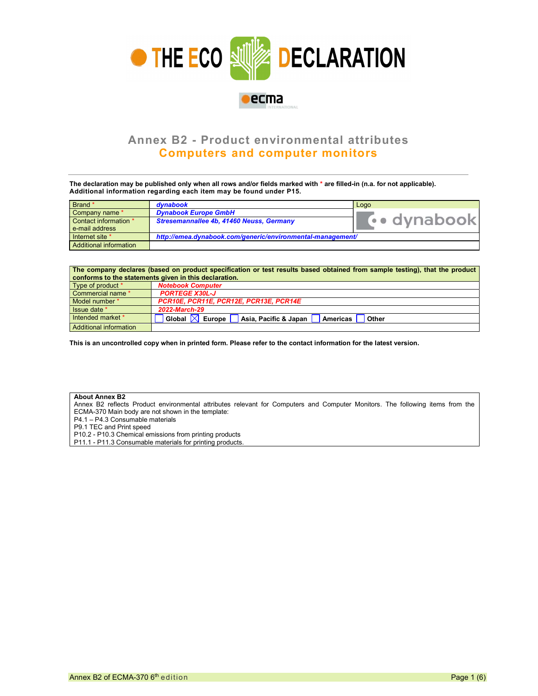

## Annex B2 - Product environmental attributes Computers and computer monitors

The declaration may be published only when all rows and/or fields marked with \* are filled-in (n.a. for not applicable). Additional information regarding each item may be found under P15.

| Brand *                | dynabook                                                   | Logo       |  |  |
|------------------------|------------------------------------------------------------|------------|--|--|
| Company name *         | <b>Dynabook Europe GmbH</b>                                |            |  |  |
| Contact information *  | Stresemannallee 4b, 41460 Neuss, Germany                   | vodynabook |  |  |
| e-mail address         |                                                            |            |  |  |
| Internet site *        | http://emea.dynabook.com/generic/environmental-management/ |            |  |  |
| Additional information |                                                            |            |  |  |

| The company declares (based on product specification or test results based obtained from sample testing), that the product<br>conforms to the statements given in this declaration. |                                                                  |  |  |  |  |  |
|-------------------------------------------------------------------------------------------------------------------------------------------------------------------------------------|------------------------------------------------------------------|--|--|--|--|--|
| Type of product *                                                                                                                                                                   | <b>Notebook Computer</b>                                         |  |  |  |  |  |
| Commercial name *                                                                                                                                                                   | <b>PORTEGE X30L-J</b>                                            |  |  |  |  |  |
| Model number *                                                                                                                                                                      | PCR10E, PCR11E, PCR12E, PCR13E, PCR14E                           |  |  |  |  |  |
| Issue date *                                                                                                                                                                        | 2022-March-29                                                    |  |  |  |  |  |
| Intended market *                                                                                                                                                                   | Asia, Pacific & Japan<br>Global I<br>Europe<br>Americas<br>Other |  |  |  |  |  |
| Additional information                                                                                                                                                              |                                                                  |  |  |  |  |  |

This is an uncontrolled copy when in printed form. Please refer to the contact information for the latest version.

## About Annex B2

Annex B2 reflects Product environmental attributes relevant for Computers and Computer Monitors. The following items from the ECMA-370 Main body are not shown in the template:

P4.1 – P4.3 Consumable materials

P9.1 TEC and Print speed

P10.2 - P10.3 Chemical emissions from printing products

P11.1 - P11.3 Consumable materials for printing products.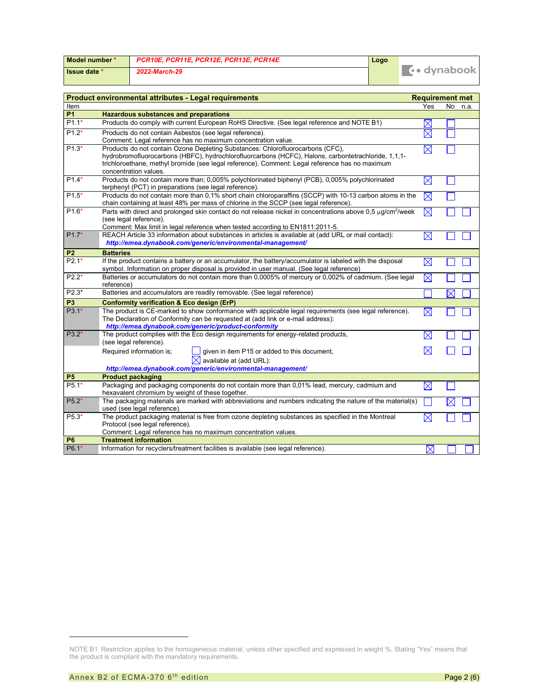| Model number * | PCR10E, PCR11E, PCR12E, PCR13E, PCR14E | Logo |                   |
|----------------|----------------------------------------|------|-------------------|
| I Issue date * | 2022-March-29                          |      | $\cdots$ dynabook |

|                | <b>Product environmental attributes - Legal requirements</b><br><b>Requirement met</b>                                                                                                                                                                                                                           |             |             |  |  |  |
|----------------|------------------------------------------------------------------------------------------------------------------------------------------------------------------------------------------------------------------------------------------------------------------------------------------------------------------|-------------|-------------|--|--|--|
| Item           |                                                                                                                                                                                                                                                                                                                  | Yes         | No.<br>n.a. |  |  |  |
| <b>P1</b>      | <b>Hazardous substances and preparations</b>                                                                                                                                                                                                                                                                     |             |             |  |  |  |
| $P1.1*$        | Products do comply with current European RoHS Directive. (See legal reference and NOTE B1)                                                                                                                                                                                                                       | $\boxtimes$ |             |  |  |  |
| $P1.2*$        | Products do not contain Asbestos (see legal reference).<br>Comment: Legal reference has no maximum concentration value.                                                                                                                                                                                          | $\boxtimes$ |             |  |  |  |
| $P1.3*$        | Products do not contain Ozone Depleting Substances: Chlorofluorocarbons (CFC),<br>hydrobromofluorocarbons (HBFC), hydrochlorofluorcarbons (HCFC), Halons, carbontetrachloride, 1,1,1-<br>trichloroethane, methyl bromide (see legal reference). Comment: Legal reference has no maximum<br>concentration values. | $\boxtimes$ |             |  |  |  |
| $P1.4*$        | Products do not contain more than; 0,005% polychlorinated biphenyl (PCB), 0,005% polychlorinated<br>terphenyl (PCT) in preparations (see legal reference).                                                                                                                                                       | $\boxtimes$ |             |  |  |  |
| $P1.5*$        | Products do not contain more than 0,1% short chain chloroparaffins (SCCP) with 10-13 carbon atoms in the<br>chain containing at least 48% per mass of chlorine in the SCCP (see legal reference).                                                                                                                | $\boxtimes$ |             |  |  |  |
| $P1.6*$        | Parts with direct and prolonged skin contact do not release nickel in concentrations above 0.5 µg/cm <sup>2</sup> /week<br>(see legal reference).<br>Comment: Max limit in legal reference when tested according to EN1811:2011-5.                                                                               | $\boxtimes$ |             |  |  |  |
| $P1.7*$        | REACH Article 33 information about substances in articles is available at (add URL or mail contact):<br>http://emea.dynabook.com/generic/environmental-management/                                                                                                                                               | $\boxtimes$ |             |  |  |  |
| P <sub>2</sub> | <b>Batteries</b>                                                                                                                                                                                                                                                                                                 |             |             |  |  |  |
| $P2.1*$        | If the product contains a battery or an accumulator, the battery/accumulator is labeled with the disposal<br>symbol. Information on proper disposal is provided in user manual. (See legal reference)                                                                                                            | $\boxtimes$ |             |  |  |  |
| $P2.2*$        | Batteries or accumulators do not contain more than 0,0005% of mercury or 0,002% of cadmium. (See legal<br>reference)                                                                                                                                                                                             | $\boxtimes$ |             |  |  |  |
| $P2.3*$        | Batteries and accumulators are readily removable. (See legal reference)                                                                                                                                                                                                                                          |             | $\times$    |  |  |  |
| P <sub>3</sub> | <b>Conformity verification &amp; Eco design (ErP)</b>                                                                                                                                                                                                                                                            |             |             |  |  |  |
| $P3.1*$        | The product is CE-marked to show conformance with applicable legal requirements (see legal reference).<br>The Declaration of Conformity can be requested at (add link or e-mail address):<br>http://emea.dynabook.com/generic/product-conformity                                                                 | $\boxtimes$ |             |  |  |  |
| $P3.2*$        | The product complies with the Eco design requirements for energy-related products,<br>(see legal reference).                                                                                                                                                                                                     | $\boxtimes$ |             |  |  |  |
|                | Required information is;<br>given in item P15 or added to this document,<br>⊠<br>available at (add URL):<br>http://emea.dynabook.com/generic/environmental-management/                                                                                                                                           | $\times$    |             |  |  |  |
| <b>P5</b>      | <b>Product packaging</b>                                                                                                                                                                                                                                                                                         |             |             |  |  |  |
| $P5.1*$        | Packaging and packaging components do not contain more than 0,01% lead, mercury, cadmium and<br>hexavalent chromium by weight of these together.                                                                                                                                                                 | $\boxtimes$ |             |  |  |  |
| $P5.2*$        | The packaging materials are marked with abbreviations and numbers indicating the nature of the material(s)<br>used (see legal reference).                                                                                                                                                                        |             | $\boxtimes$ |  |  |  |
| $P5.3*$        | The product packaging material is free from ozone depleting substances as specified in the Montreal<br>Protocol (see legal reference).<br>Comment: Legal reference has no maximum concentration values.                                                                                                          | $\boxtimes$ |             |  |  |  |
| <b>P6</b>      | <b>Treatment information</b>                                                                                                                                                                                                                                                                                     |             |             |  |  |  |
| $P6.1*$        | Information for recyclers/treatment facilities is available (see legal reference).                                                                                                                                                                                                                               | $\boxtimes$ |             |  |  |  |

NOTE B1 Restriction applies to the homogeneous material, unless other specified and expressed in weight %. Stating "Yes" means that the product is compliant with the mandatory requirements.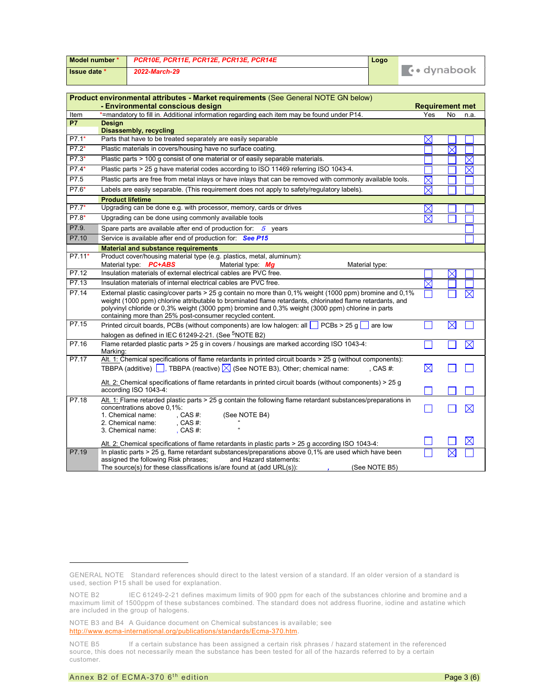| Model number * |                         | PCR10E, PCR11E, PCR12E, PCR13E, PCR14E                                                                                                                                                                                                                                                                                                                                                | Logo          |                        |             |             |
|----------------|-------------------------|---------------------------------------------------------------------------------------------------------------------------------------------------------------------------------------------------------------------------------------------------------------------------------------------------------------------------------------------------------------------------------------|---------------|------------------------|-------------|-------------|
| Issue date *   |                         | 2022-March-29                                                                                                                                                                                                                                                                                                                                                                         |               | <b>Co</b> dynabook     |             |             |
|                |                         | Product environmental attributes - Market requirements (See General NOTE GN below)<br>- Environmental conscious design                                                                                                                                                                                                                                                                |               | <b>Requirement met</b> |             |             |
| Item           |                         | *=mandatory to fill in. Additional information regarding each item may be found under P14.                                                                                                                                                                                                                                                                                            |               | Yes                    | No          | n.a.        |
| <b>P7</b>      | <b>Design</b>           | Disassembly, recycling                                                                                                                                                                                                                                                                                                                                                                |               |                        |             |             |
| $P7.1*$        |                         | Parts that have to be treated separately are easily separable                                                                                                                                                                                                                                                                                                                         |               | $\times$               |             |             |
| $P7.2*$        |                         | Plastic materials in covers/housing have no surface coating.                                                                                                                                                                                                                                                                                                                          |               |                        |             |             |
| $P7.3*$        |                         | Plastic parts > 100 g consist of one material or of easily separable materials.                                                                                                                                                                                                                                                                                                       |               |                        |             | $\times$    |
| $P7.4*$        |                         | Plastic parts > 25 g have material codes according to ISO 11469 referring ISO 1043-4.                                                                                                                                                                                                                                                                                                 |               |                        |             | $\boxtimes$ |
| P7.5           |                         | Plastic parts are free from metal inlays or have inlays that can be removed with commonly available tools.                                                                                                                                                                                                                                                                            |               | $\boxtimes$            |             |             |
| P7.6*          |                         | Labels are easily separable. (This requirement does not apply to safety/regulatory labels).                                                                                                                                                                                                                                                                                           |               | $\times$               |             |             |
|                | <b>Product lifetime</b> |                                                                                                                                                                                                                                                                                                                                                                                       |               |                        |             |             |
| $P7.7*$        |                         | Upgrading can be done e.g. with processor, memory, cards or drives                                                                                                                                                                                                                                                                                                                    |               | $\times$               |             |             |
| $P7.8*$        |                         | Upgrading can be done using commonly available tools                                                                                                                                                                                                                                                                                                                                  |               | $\times$               |             |             |
| P7.9.          |                         | Spare parts are available after end of production for: $5$ years                                                                                                                                                                                                                                                                                                                      |               |                        |             |             |
| P7.10          |                         | Service is available after end of production for: See P15                                                                                                                                                                                                                                                                                                                             |               |                        |             |             |
|                |                         | <b>Material and substance requirements</b>                                                                                                                                                                                                                                                                                                                                            |               |                        |             |             |
| P7.11*         |                         | Product cover/housing material type (e.g. plastics, metal, aluminum):<br>Material type: PC+ABS<br>Material type: Mg<br>Material type:                                                                                                                                                                                                                                                 |               |                        |             |             |
| P7.12          |                         | Insulation materials of external electrical cables are PVC free.                                                                                                                                                                                                                                                                                                                      |               |                        |             |             |
| P7.13          |                         | Insulation materials of internal electrical cables are PVC free.                                                                                                                                                                                                                                                                                                                      |               |                        |             |             |
| P7.14          |                         | External plastic casing/cover parts > 25 g contain no more than 0,1% weight (1000 ppm) bromine and 0,1%<br>weight (1000 ppm) chlorine attributable to brominated flame retardants, chlorinated flame retardants, and<br>polyvinyl chloride or 0,3% weight (3000 ppm) bromine and 0,3% weight (3000 ppm) chlorine in parts<br>containing more than 25% post-consumer recycled content. |               |                        |             |             |
| P7.15          |                         | Printed circuit boards, PCBs (without components) are low halogen: all $\Box$ PCBs > 25 g are low                                                                                                                                                                                                                                                                                     |               |                        | $\boxtimes$ |             |
|                |                         | halogen as defined in IEC 61249-2-21. (See <sup>5</sup> NOTE B2)                                                                                                                                                                                                                                                                                                                      |               |                        |             |             |
| P7.16          | Marking:                | Flame retarded plastic parts > 25 g in covers / housings are marked according ISO 1043-4:                                                                                                                                                                                                                                                                                             |               |                        |             | $\boxtimes$ |
| P7.17          |                         | Alt. 1: Chemical specifications of flame retardants in printed circuit boards $>$ 25 g (without components):<br>TBBPA (additive) $\Box$ , TBBPA (reactive) $\boxtimes$ (See NOTE B3), Other; chemical name:                                                                                                                                                                           | , CAS $#$ :   | $\boxtimes$            |             |             |
|                |                         | Alt. 2: Chemical specifications of flame retardants in printed circuit boards (without components) > 25 g<br>according ISO 1043-4:                                                                                                                                                                                                                                                    |               |                        |             |             |
| P7.18          |                         | Alt. 1: Flame retarded plastic parts > 25 g contain the following flame retardant substances/preparations in<br>concentrations above 0.1%:<br>1. Chemical name:<br>, CAS #:<br>(See NOTE B4)<br>, CAS #:<br>2. Chemical name:<br>3. Chemical name:<br>, CAS $#$ :                                                                                                                     |               |                        |             | $\times$    |
|                |                         | $\frac{\text{Alt. 2:}}{\text{Chemical specifications of flame rectangles in plastic parts} > 25 g according ISO 1043-4:}$                                                                                                                                                                                                                                                             |               |                        |             |             |
| P7.19          |                         | In plastic parts $> 25$ g, flame retardant substances/preparations above 0,1% are used which have been<br>assigned the following Risk phrases;<br>and Hazard statements:<br>The source(s) for these classifications is/are found at (add URL(s)):                                                                                                                                     | (See NOTE B5) |                        |             |             |

NOTE B3 and B4 A Guidance document on Chemical substances is available; see http://www.ecma-international.org/publications/standards/Ecma-370.htm.

GENERAL NOTE Standard references should direct to the latest version of a standard. If an older version of a standard is used, section P15 shall be used for explanation.

NOTE B2 IEC 61249-2-21 defines maximum limits of 900 ppm for each of the substances chlorine and bromine and a maximum limit of 1500ppm of these substances combined. The standard does not address fluorine, iodine and astatine which are included in the group of halogens.

NOTE B5 If a certain substance has been assigned a certain risk phrases / hazard statement in the referenced source, this does not necessarily mean the substance has been tested for all of the hazards referred to by a certain customer.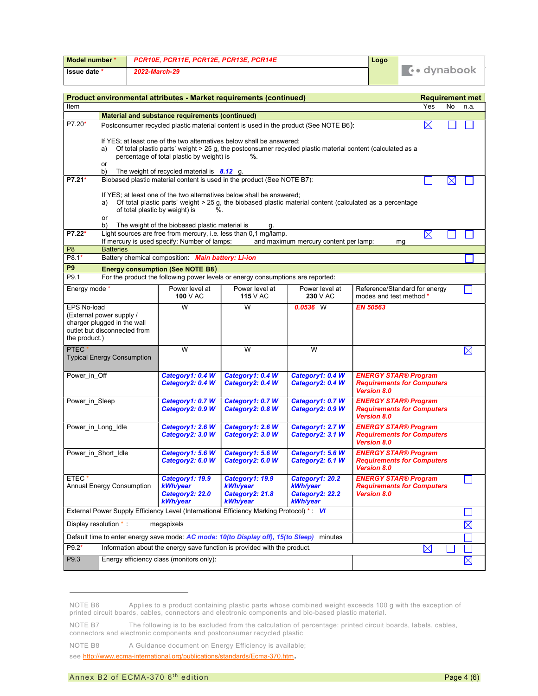| Model number * | PCR10E. PCR11E. PCR12E. PCR13E. PCR14E |  |                    |
|----------------|----------------------------------------|--|--------------------|
| Issue date *   | 2022-March-29                          |  | <b>∴•</b> dvnabook |

| Product environmental attributes - Market requirements (continued)                        |                                                                                                                     |                                                    |                                                                                                                                                                                   |                                       |                                                         |             |           | <b>Requirement met</b> |
|-------------------------------------------------------------------------------------------|---------------------------------------------------------------------------------------------------------------------|----------------------------------------------------|-----------------------------------------------------------------------------------------------------------------------------------------------------------------------------------|---------------------------------------|---------------------------------------------------------|-------------|-----------|------------------------|
| Item                                                                                      |                                                                                                                     |                                                    |                                                                                                                                                                                   |                                       |                                                         | Yes         | <b>No</b> | n.a.                   |
|                                                                                           |                                                                                                                     | Material and substance requirements (continued)    |                                                                                                                                                                                   |                                       |                                                         |             |           |                        |
| P7.20*                                                                                    |                                                                                                                     |                                                    | Postconsumer recycled plastic material content is used in the product (See NOTE B6):                                                                                              |                                       |                                                         | $\boxtimes$ |           |                        |
|                                                                                           |                                                                                                                     |                                                    | If YES; at least one of the two alternatives below shall be answered;                                                                                                             |                                       |                                                         |             |           |                        |
|                                                                                           | a)                                                                                                                  | percentage of total plastic by weight) is          | Of total plastic parts' weight > 25 g, the postconsumer recycled plastic material content (calculated as a<br>%.                                                                  |                                       |                                                         |             |           |                        |
|                                                                                           | or                                                                                                                  |                                                    |                                                                                                                                                                                   |                                       |                                                         |             |           |                        |
| $P7.21*$                                                                                  | b)<br>The weight of recycled material is $8.12$ g.                                                                  |                                                    |                                                                                                                                                                                   |                                       |                                                         |             |           |                        |
|                                                                                           | Biobased plastic material content is used in the product (See NOTE B7):                                             |                                                    |                                                                                                                                                                                   |                                       |                                                         |             |           |                        |
|                                                                                           | a)                                                                                                                  |                                                    | If YES; at least one of the two alternatives below shall be answered;<br>Of total plastic parts' weight > 25 g, the biobased plastic material content (calculated as a percentage |                                       |                                                         |             |           |                        |
|                                                                                           | of total plastic by weight) is<br>or                                                                                | $\%$ .                                             |                                                                                                                                                                                   |                                       |                                                         |             |           |                        |
|                                                                                           | b)                                                                                                                  | The weight of the biobased plastic material is     |                                                                                                                                                                                   |                                       |                                                         |             |           |                        |
| P7.22*                                                                                    |                                                                                                                     | If mercury is used specify: Number of lamps:       | Light sources are free from mercury, i.e. less than 0,1 mg/lamp.                                                                                                                  |                                       |                                                         | $\boxtimes$ |           |                        |
| P <sub>8</sub>                                                                            | <b>Batteries</b>                                                                                                    |                                                    |                                                                                                                                                                                   | and maximum mercury content per lamp: | mg                                                      |             |           |                        |
| P8.1*                                                                                     |                                                                                                                     | Battery chemical composition: Main battery: Li-ion |                                                                                                                                                                                   |                                       |                                                         |             |           |                        |
| P9                                                                                        |                                                                                                                     | <b>Energy consumption (See NOTE B8)</b>            |                                                                                                                                                                                   |                                       |                                                         |             |           |                        |
| P9.1                                                                                      |                                                                                                                     |                                                    | For the product the following power levels or energy consumptions are reported:                                                                                                   |                                       |                                                         |             |           |                        |
| Energy mode *                                                                             |                                                                                                                     | Power level at                                     | Power level at                                                                                                                                                                    | Power level at                        | Reference/Standard for energy                           |             |           |                        |
|                                                                                           |                                                                                                                     | 100 V AC                                           | <b>115 V AC</b>                                                                                                                                                                   | 230 V AC                              | modes and test method *                                 |             |           |                        |
| <b>EPS No-load</b>                                                                        | (External power supply /                                                                                            | W                                                  | W                                                                                                                                                                                 | $0.0536$ W                            | <b>EN 50563</b>                                         |             |           |                        |
|                                                                                           | charger plugged in the wall                                                                                         |                                                    |                                                                                                                                                                                   |                                       |                                                         |             |           |                        |
|                                                                                           | outlet but disconnected from                                                                                        |                                                    |                                                                                                                                                                                   |                                       |                                                         |             |           |                        |
| the product.)                                                                             |                                                                                                                     |                                                    |                                                                                                                                                                                   |                                       |                                                         |             |           |                        |
| <b>PTEC</b>                                                                               | <b>Typical Energy Consumption</b>                                                                                   | W                                                  | W                                                                                                                                                                                 | W                                     |                                                         |             |           | $\boxtimes$            |
|                                                                                           |                                                                                                                     |                                                    |                                                                                                                                                                                   |                                       |                                                         |             |           |                        |
| Power_in_Off                                                                              |                                                                                                                     | Category1: 0.4 W                                   | Category1: 0.4 W                                                                                                                                                                  | Category1: 0.4 W                      | <b>ENERGY STAR® Program</b>                             |             |           |                        |
|                                                                                           |                                                                                                                     | Category2: 0.4 W                                   | Category2: 0.4 W                                                                                                                                                                  | Category2: 0.4 W                      | <b>Requirements for Computers</b><br><b>Version 8.0</b> |             |           |                        |
| Power in Sleep                                                                            |                                                                                                                     | Category1: 0.7 W                                   | Category1: 0.7 W                                                                                                                                                                  | Category1: 0.7 W                      | <b>ENERGY STAR® Program</b>                             |             |           |                        |
|                                                                                           |                                                                                                                     | Category2: 0.9 W                                   | Category2: 0.8 W                                                                                                                                                                  | Category2: 0.9 W                      | <b>Requirements for Computers</b><br><b>Version 8.0</b> |             |           |                        |
| Power in Long Idle                                                                        |                                                                                                                     | Category1: 2.6 W                                   | Category1: 2.6 W                                                                                                                                                                  | Category1: 2.7 W                      | <b>ENERGY STAR® Program</b>                             |             |           |                        |
|                                                                                           |                                                                                                                     | Category2: 3.0 W                                   | Category2: 3.0 W                                                                                                                                                                  | Category2: 3.1 W                      | <b>Requirements for Computers</b><br><b>Version 8.0</b> |             |           |                        |
|                                                                                           | Power_in_Short_Idle                                                                                                 | Category1: 5.6 W                                   | Category1: 5.6 W                                                                                                                                                                  | Category1: 5.6 W                      | <b>ENERGY STAR® Program</b>                             |             |           |                        |
|                                                                                           | Category2: 6.0 W<br>Category2: 6.0 W<br>Category2: 6.1 W<br><b>Requirements for Computers</b><br><b>Version 8.0</b> |                                                    |                                                                                                                                                                                   |                                       |                                                         |             |           |                        |
| ETEC*                                                                                     |                                                                                                                     | Category1: 19.9                                    | Category1: 19.9                                                                                                                                                                   | Category1: 20.2                       | <b>ENERGY STAR® Program</b>                             |             |           |                        |
|                                                                                           | Annual Energy Consumption                                                                                           | kWh/year<br>Category2: 22.0                        | kWh/year<br>Category2: 21.8                                                                                                                                                       | kWh/year<br>Category2: 22.2           | <b>Requirements for Computers</b><br><b>Version 8.0</b> |             |           |                        |
| kWh/year<br>kWh/year<br>kWh/year                                                          |                                                                                                                     |                                                    |                                                                                                                                                                                   |                                       |                                                         |             |           |                        |
|                                                                                           | External Power Supply Efficiency Level (International Efficiency Marking Protocol) *: VI                            |                                                    |                                                                                                                                                                                   |                                       |                                                         |             |           |                        |
| Display resolution *:<br>megapixels                                                       |                                                                                                                     |                                                    |                                                                                                                                                                                   |                                       |                                                         |             |           | $\boxtimes$            |
| Default time to enter energy save mode: AC mode: 10(to Display off), 15(to Sleep) minutes |                                                                                                                     |                                                    |                                                                                                                                                                                   |                                       |                                                         |             |           |                        |
| $P9.2*$                                                                                   | Information about the energy save function is provided with the product.                                            |                                                    | $\boxtimes$                                                                                                                                                                       |                                       |                                                         |             |           |                        |
| P9.3                                                                                      |                                                                                                                     | Energy efficiency class (monitors only):           |                                                                                                                                                                                   |                                       |                                                         |             |           | $\boxtimes$            |
|                                                                                           |                                                                                                                     |                                                    |                                                                                                                                                                                   |                                       |                                                         |             |           |                        |

NOTE B6 Applies to a product containing plastic parts whose combined weight exceeds 100 g with the exception of printed circuit boards, cables, connectors and electronic components and bio-based plastic material.

NOTE B7 The following is to be excluded from the calculation of percentage: printed circuit boards, labels, cables, connectors and electronic components and postconsumer recycled plastic

NOTE B8 A Guidance document on Energy Efficiency is available;

see http://www.ecma-international.org/publications/standards/Ecma-370.htm.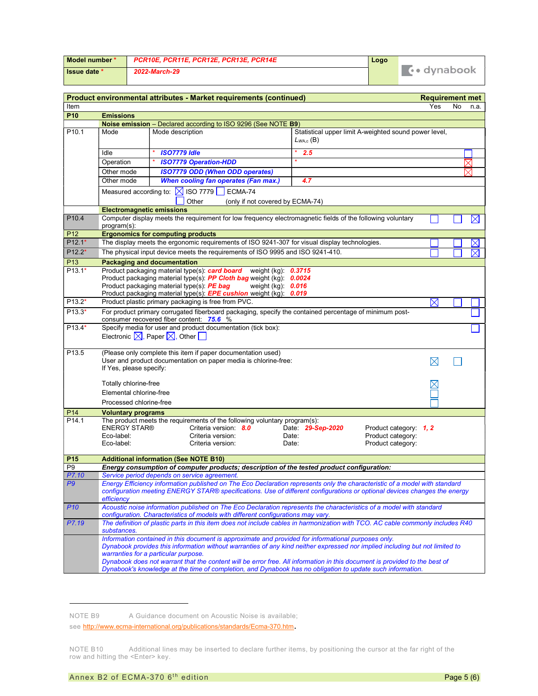| Model number *      | PCR10E. PCR11E. PCR12E. PCR13E. PCR14E |  |                    |  |
|---------------------|----------------------------------------|--|--------------------|--|
| <b>Issue date *</b> | 2022-March-29                          |  | <b>∴•</b> dvnabook |  |

|                   |                                                           |                     | Product environmental attributes - Market requirements (continued)                                                                                                                                                                                                                                                                                                                                                                                                              |                                  |                  |                                                                  | <b>Requirement met</b> |    |             |
|-------------------|-----------------------------------------------------------|---------------------|---------------------------------------------------------------------------------------------------------------------------------------------------------------------------------------------------------------------------------------------------------------------------------------------------------------------------------------------------------------------------------------------------------------------------------------------------------------------------------|----------------------------------|------------------|------------------------------------------------------------------|------------------------|----|-------------|
| Item              |                                                           |                     |                                                                                                                                                                                                                                                                                                                                                                                                                                                                                 |                                  |                  |                                                                  | Yes                    | No | n.a.        |
| P <sub>10</sub>   | <b>Emissions</b>                                          |                     |                                                                                                                                                                                                                                                                                                                                                                                                                                                                                 |                                  |                  |                                                                  |                        |    |             |
|                   |                                                           |                     | Noise emission - Declared according to ISO 9296 (See NOTE B9)                                                                                                                                                                                                                                                                                                                                                                                                                   |                                  |                  |                                                                  |                        |    |             |
| P <sub>10.1</sub> | Mode                                                      | Mode description    |                                                                                                                                                                                                                                                                                                                                                                                                                                                                                 |                                  | $L_{WAC}$ (B)    | Statistical upper limit A-weighted sound power level,            |                        |    |             |
|                   | Idle                                                      | <b>ISO7779 Idle</b> |                                                                                                                                                                                                                                                                                                                                                                                                                                                                                 |                                  | 2.5              |                                                                  |                        |    |             |
|                   | Operation                                                 |                     | <b>ISO7779 Operation-HDD</b>                                                                                                                                                                                                                                                                                                                                                                                                                                                    |                                  |                  |                                                                  |                        |    | $\times$    |
|                   | Other mode                                                |                     | <b>ISO7779 ODD (When ODD operates)</b>                                                                                                                                                                                                                                                                                                                                                                                                                                          |                                  |                  |                                                                  |                        |    |             |
|                   | Other mode                                                |                     | <b>When cooling fan operates (Fan max.)</b>                                                                                                                                                                                                                                                                                                                                                                                                                                     |                                  | 4.7              |                                                                  |                        |    |             |
|                   | Measured according to: $\boxtimes$ ISO 7779               |                     | ECMA-74<br>Other                                                                                                                                                                                                                                                                                                                                                                                                                                                                | (only if not covered by ECMA-74) |                  |                                                                  |                        |    |             |
|                   | <b>Electromagnetic emissions</b>                          |                     |                                                                                                                                                                                                                                                                                                                                                                                                                                                                                 |                                  |                  |                                                                  |                        |    |             |
| P <sub>10.4</sub> | program(s):                                               |                     | Computer display meets the requirement for low frequency electromagnetic fields of the following voluntary                                                                                                                                                                                                                                                                                                                                                                      |                                  |                  |                                                                  |                        |    | $\bowtie$   |
| P <sub>12</sub>   | <b>Ergonomics for computing products</b>                  |                     |                                                                                                                                                                                                                                                                                                                                                                                                                                                                                 |                                  |                  |                                                                  |                        |    |             |
| $P12.1*$          |                                                           |                     | The display meets the ergonomic requirements of ISO 9241-307 for visual display technologies.                                                                                                                                                                                                                                                                                                                                                                                   |                                  |                  |                                                                  |                        |    | $\times$    |
| $P12.2*$          |                                                           |                     | The physical input device meets the requirements of ISO 9995 and ISO 9241-410.                                                                                                                                                                                                                                                                                                                                                                                                  |                                  |                  |                                                                  |                        |    | $\boxtimes$ |
| P <sub>13</sub>   | <b>Packaging and documentation</b>                        |                     |                                                                                                                                                                                                                                                                                                                                                                                                                                                                                 |                                  |                  |                                                                  |                        |    |             |
| $P13.1*$          | Product packaging material type(s): PE bag                |                     | Product packaging material type(s): card board weight (kg): 0.3715<br>Product packaging material type(s): PP Cloth bag weight (kg): 0.0024<br>Product packaging material type(s): <b>EPE cushion</b> weight (kg): 0.019                                                                                                                                                                                                                                                         | weight $(kg)$ : $0.016$          |                  |                                                                  |                        |    |             |
| $P13.2*$          |                                                           |                     | Product plastic primary packaging is free from PVC.                                                                                                                                                                                                                                                                                                                                                                                                                             |                                  |                  |                                                                  | $\boxtimes$            |    |             |
| $P13.3*$          | consumer recovered fiber content: 75.6 %                  |                     | For product primary corrugated fiberboard packaging, specify the contained percentage of minimum post-                                                                                                                                                                                                                                                                                                                                                                          |                                  |                  |                                                                  |                        |    |             |
| $P13.4*$          | Electronic $\boxtimes$ , Paper $\boxtimes$ , Other $\Box$ |                     | Specify media for user and product documentation (tick box):                                                                                                                                                                                                                                                                                                                                                                                                                    |                                  |                  |                                                                  |                        |    |             |
| P <sub>13.5</sub> | If Yes, please specify:                                   |                     | (Please only complete this item if paper documentation used)<br>User and product documentation on paper media is chlorine-free:                                                                                                                                                                                                                                                                                                                                                 |                                  |                  |                                                                  | $\boxtimes$            |    |             |
|                   | Totally chlorine-free                                     |                     |                                                                                                                                                                                                                                                                                                                                                                                                                                                                                 |                                  |                  |                                                                  |                        |    |             |
|                   | Elemental chlorine-free                                   |                     |                                                                                                                                                                                                                                                                                                                                                                                                                                                                                 |                                  |                  |                                                                  |                        |    |             |
|                   | Processed chlorine-free                                   |                     |                                                                                                                                                                                                                                                                                                                                                                                                                                                                                 |                                  |                  |                                                                  |                        |    |             |
| P14               | <b>Voluntary programs</b>                                 |                     |                                                                                                                                                                                                                                                                                                                                                                                                                                                                                 |                                  |                  |                                                                  |                        |    |             |
| P <sub>14.1</sub> | <b>ENERGY STAR®</b><br>Eco-label:<br>Eco-label:           |                     | The product meets the requirements of the following voluntary program(s):<br>Criteria version: 8.0<br>Criteria version:<br>Criteria version:                                                                                                                                                                                                                                                                                                                                    | Date:<br>Date:                   | Date 29-Sep-2020 | Product category: 1, 2<br>Product category:<br>Product category: |                        |    |             |
| P <sub>15</sub>   | <b>Additional information (See NOTE B10)</b>              |                     |                                                                                                                                                                                                                                                                                                                                                                                                                                                                                 |                                  |                  |                                                                  |                        |    |             |
| P <sub>9</sub>    |                                                           |                     | Energy consumption of computer products; description of the tested product configuration:                                                                                                                                                                                                                                                                                                                                                                                       |                                  |                  |                                                                  |                        |    |             |
| P7.10             |                                                           |                     | Service period depends on service agreement.                                                                                                                                                                                                                                                                                                                                                                                                                                    |                                  |                  |                                                                  |                        |    |             |
| P9                | efficiency                                                |                     | Energy Efficiency information published on The Eco Declaration represents only the characteristic of a model with standard<br>configuration meeting ENERGY STAR® specifications. Use of different configurations or optional devices changes the energy                                                                                                                                                                                                                         |                                  |                  |                                                                  |                        |    |             |
| <b>P10</b>        |                                                           |                     | Acoustic noise information published on The Eco Declaration represents the characteristics of a model with standard<br>configuration. Characteristics of models with different configurations may vary.                                                                                                                                                                                                                                                                         |                                  |                  |                                                                  |                        |    |             |
| P7.19             | substances.                                               |                     | The definition of plastic parts in this item does not include cables in harmonization with TCO. AC cable commonly includes R40                                                                                                                                                                                                                                                                                                                                                  |                                  |                  |                                                                  |                        |    |             |
|                   | warranties for a particular purpose.                      |                     | Information contained in this document is approximate and provided for informational purposes only.<br>Dynabook provides this information without warranties of any kind neither expressed nor implied including but not limited to<br>Dynabook does not warrant that the content will be error free. All information in this document is provided to the best of<br>Dynabook's knowledge at the time of completion, and Dynabook has no obligation to update such information. |                                  |                  |                                                                  |                        |    |             |

NOTE B9 A Guidance document on Acoustic Noise is available;

see http://www.ecma-international.org/publications/standards/Ecma-370.htm.

NOTE B10 Additional lines may be inserted to declare further items, by positioning the cursor at the far right of the row and hitting the <Enter> key.